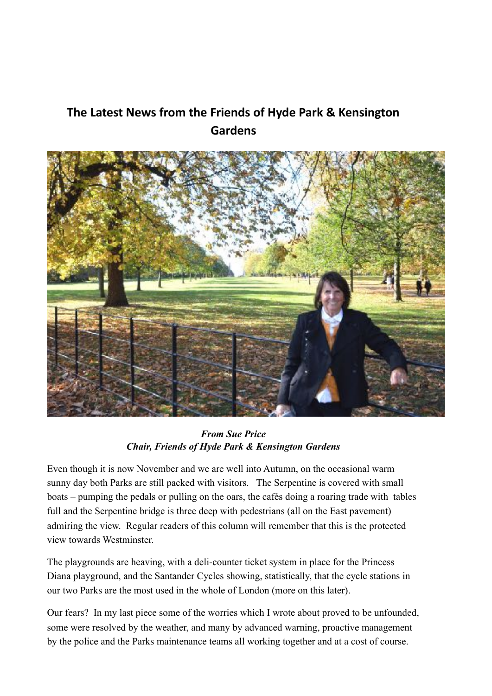# The Latest News from the Friends of Hyde Park & Kensington **Gardens**



*From Sue Price Chair, Friends of Hyde Park & Kensington Gardens*

Even though it is now November and we are well into Autumn, on the occasional warm sunny day both Parks are still packed with visitors. The Serpentine is covered with small boats – pumping the pedals or pulling on the oars, the cafés doing a roaring trade with tables full and the Serpentine bridge is three deep with pedestrians (all on the East pavement) admiring the view. Regular readers of this column will remember that this is the protected view towards Westminster.

The playgrounds are heaving, with a deli-counter ticket system in place for the Princess Diana playground, and the Santander Cycles showing, statistically, that the cycle stations in our two Parks are the most used in the whole of London (more on this later).

Our fears? In my last piece some of the worries which I wrote about proved to be unfounded, some were resolved by the weather, and many by advanced warning, proactive management by the police and the Parks maintenance teams all working together and at a cost of course.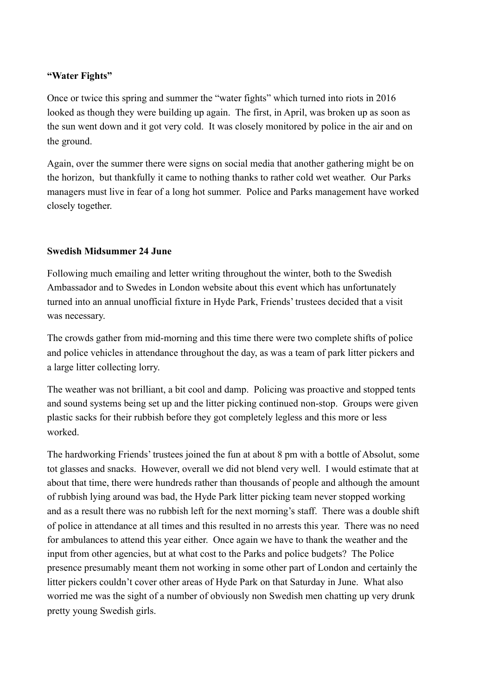#### **"Water Fights"**

Once or twice this spring and summer the "water fights" which turned into riots in 2016 looked as though they were building up again. The first, in April, was broken up as soon as the sun went down and it got very cold. It was closely monitored by police in the air and on the ground.

Again, over the summer there were signs on social media that another gathering might be on the horizon, but thankfully it came to nothing thanks to rather cold wet weather. Our Parks managers must live in fear of a long hot summer. Police and Parks management have worked closely together.

#### **Swedish Midsummer 24 June**

Following much emailing and letter writing throughout the winter, both to the Swedish Ambassador and to Swedes in London website about this event which has unfortunately turned into an annual unofficial fixture in Hyde Park, Friends' trustees decided that a visit was necessary.

The crowds gather from mid-morning and this time there were two complete shifts of police and police vehicles in attendance throughout the day, as was a team of park litter pickers and a large litter collecting lorry.

The weather was not brilliant, a bit cool and damp. Policing was proactive and stopped tents and sound systems being set up and the litter picking continued non-stop. Groups were given plastic sacks for their rubbish before they got completely legless and this more or less worked.

The hardworking Friends' trustees joined the fun at about 8 pm with a bottle of Absolut, some tot glasses and snacks. However, overall we did not blend very well. I would estimate that at about that time, there were hundreds rather than thousands of people and although the amount of rubbish lying around was bad, the Hyde Park litter picking team never stopped working and as a result there was no rubbish left for the next morning's staff. There was a double shift of police in attendance at all times and this resulted in no arrests this year. There was no need for ambulances to attend this year either. Once again we have to thank the weather and the input from other agencies, but at what cost to the Parks and police budgets? The Police presence presumably meant them not working in some other part of London and certainly the litter pickers couldn't cover other areas of Hyde Park on that Saturday in June. What also worried me was the sight of a number of obviously non Swedish men chatting up very drunk pretty young Swedish girls.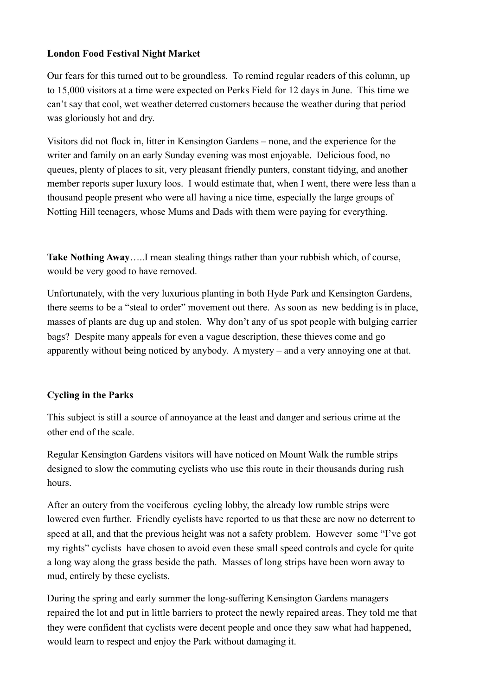# **London Food Festival Night Market**

Our fears for this turned out to be groundless. To remind regular readers of this column, up to 15,000 visitors at a time were expected on Perks Field for 12 days in June. This time we can't say that cool, wet weather deterred customers because the weather during that period was gloriously hot and dry.

Visitors did not flock in, litter in Kensington Gardens – none, and the experience for the writer and family on an early Sunday evening was most enjoyable. Delicious food, no queues, plenty of places to sit, very pleasant friendly punters, constant tidying, and another member reports super luxury loos. I would estimate that, when I went, there were less than a thousand people present who were all having a nice time, especially the large groups of Notting Hill teenagers, whose Mums and Dads with them were paying for everything.

**Take Nothing Away**…..I mean stealing things rather than your rubbish which, of course, would be very good to have removed.

Unfortunately, with the very luxurious planting in both Hyde Park and Kensington Gardens, there seems to be a "steal to order" movement out there. As soon as new bedding is in place, masses of plants are dug up and stolen. Why don't any of us spot people with bulging carrier bags? Despite many appeals for even a vague description, these thieves come and go apparently without being noticed by anybody. A mystery – and a very annoying one at that.

# **Cycling in the Parks**

This subject is still a source of annoyance at the least and danger and serious crime at the other end of the scale.

Regular Kensington Gardens visitors will have noticed on Mount Walk the rumble strips designed to slow the commuting cyclists who use this route in their thousands during rush hours.

After an outcry from the vociferous cycling lobby, the already low rumble strips were lowered even further. Friendly cyclists have reported to us that these are now no deterrent to speed at all, and that the previous height was not a safety problem. However some "I've got my rights" cyclists have chosen to avoid even these small speed controls and cycle for quite a long way along the grass beside the path. Masses of long strips have been worn away to mud, entirely by these cyclists.

During the spring and early summer the long-suffering Kensington Gardens managers repaired the lot and put in little barriers to protect the newly repaired areas. They told me that they were confident that cyclists were decent people and once they saw what had happened, would learn to respect and enjoy the Park without damaging it.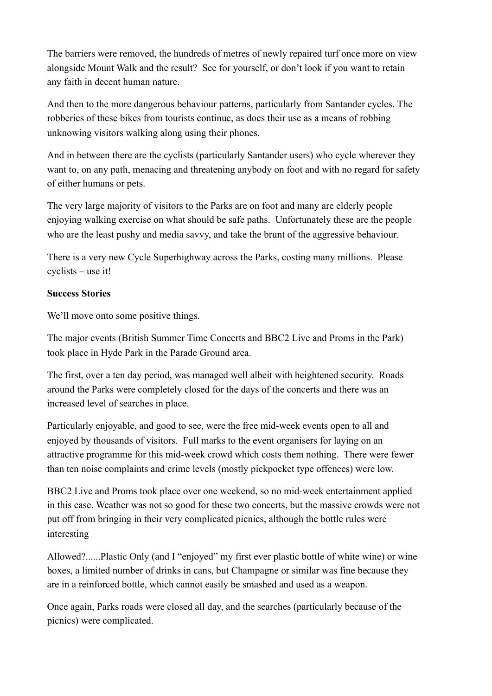The barriers were removed, the hundreds of metres of newly repaired turf once more on view alongside Mount Walk and the result? See for yourself, or don't look if you want to retain any faith in decent human nature.

And then to the more dangerous behaviour patterns, particularly from Santander cycles. The robberies of these bikes from tourists continue, as does their use as a means of robbing unknowing visitors walking along using their phones.

And in between there are the cyclists (particularly Santander users) who cycle wherever they want to, on any path, menacing and threatening anybody on foot and with no regard for safety of either humans or pets.

The very large majority of visitors to the Parks are on foot and many are elderly people enjoying walking exercise on what should be safe paths. Unfortunately these are the people who are the least pushy and media savvy, and take the brunt of the aggressive behaviour.

There is a very new Cycle Superhighway across the Parks, costing many millions. Please cyclists – use it!

#### **Success Stories**

We'll move onto some positive things.

The major events (British Summer Time Concerts and BBC2 Live and Proms in the Park) took place in Hyde Park in the Parade Ground area.

The first, over a ten day period, was managed well albeit with heightened security. Roads around the Parks were completely closed for the days of the concerts and there was an increased level of searches in place.

Particularly enjoyable, and good to see, were the free mid-week events open to all and enjoyed by thousands of visitors. Full marks to the event organisers for laying on an attractive programme for this mid-week crowd which costs them nothing. There were fewer than ten noise complaints and crime levels (mostly pickpocket type offences) were low.

BBC2 Live and Proms took place over one weekend, so no mid-week entertainment applied in this case. Weather was not so good for these two concerts, but the massive crowds were not put off from bringing in their very complicated picnics, although the bottle rules were interesting

Allowed?......Plastic Only (and I "enjoyed" my first ever plastic bottle of white wine) or wine boxes, a limited number of drinks in cans, but Champagne or similar was fine because they are in a reinforced bottle, which cannot easily be smashed and used as a weapon.

Once again, Parks roads were closed all day, and the searches (particularly because of the picnics) were complicated.